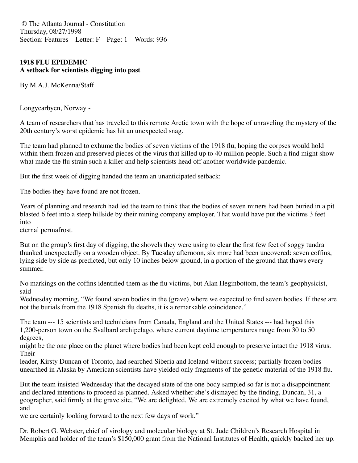© The Atlanta Journal - Constitution Thursday, 08/27/1998 Section: Features Letter: F Page: 1 Words: 936

## **1918 FLU EPIDEMIC A setback for scientists digging into past**

By M.A.J. McKenna/Staff

Longyearbyen, Norway -

A team of researchers that has traveled to this remote Arctic town with the hope of unraveling the mystery of the 20th century's worst epidemic has hit an unexpected snag.

The team had planned to exhume the bodies of seven victims of the 1918 flu, hoping the corpses would hold within them frozen and preserved pieces of the virus that killed up to 40 million people. Such a find might show what made the flu strain such a killer and help scientists head off another worldwide pandemic.

But the first week of digging handed the team an unanticipated setback:

The bodies they have found are not frozen.

Years of planning and research had led the team to think that the bodies of seven miners had been buried in a pit blasted 6 feet into a steep hillside by their mining company employer. That would have put the victims 3 feet into

eternal permafrost.

But on the group's first day of digging, the shovels they were using to clear the first few feet of soggy tundra thunked unexpectedly on a wooden object. By Tuesday afternoon, six more had been uncovered: seven coffins, lying side by side as predicted, but only 10 inches below ground, in a portion of the ground that thaws every summer.

No markings on the coffins identified them as the flu victims, but Alan Heginbottom, the team's geophysicist, said

Wednesday morning, "We found seven bodies in the (grave) where we expected to find seven bodies. If these are not the burials from the 1918 Spanish flu deaths, it is a remarkable coincidence."

The team --- 15 scientists and technicians from Canada, England and the United States --- had hoped this 1,200-person town on the Svalbard archipelago, where current daytime temperatures range from 30 to 50 degrees,

might be the one place on the planet where bodies had been kept cold enough to preserve intact the 1918 virus. Their

leader, Kirsty Duncan of Toronto, had searched Siberia and Iceland without success; partially frozen bodies unearthed in Alaska by American scientists have yielded only fragments of the genetic material of the 1918 flu.

But the team insisted Wednesday that the decayed state of the one body sampled so far is not a disappointment and declared intentions to proceed as planned. Asked whether she's dismayed by the finding, Duncan, 31, a geographer, said firmly at the grave site, "We are delighted. We are extremely excited by what we have found, and

we are certainly looking forward to the next few days of work."

Dr. Robert G. Webster, chief of virology and molecular biology at St. Jude Children's Research Hospital in Memphis and holder of the team's \$150,000 grant from the National Institutes of Health, quickly backed her up.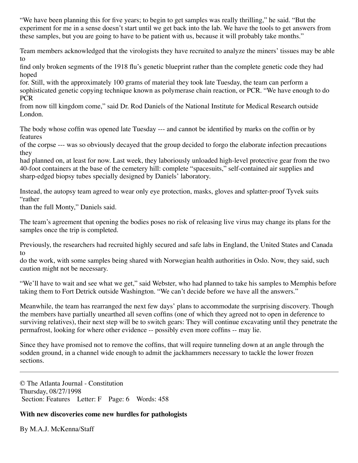"We have been planning this for five years; to begin to get samples was really thrilling," he said. "But the experiment for me in a sense doesn't start until we get back into the lab. We have the tools to get answers from these samples, but you are going to have to be patient with us, because it will probably take months."

Team members acknowledged that the virologists they have recruited to analyze the miners' tissues may be able to

find only broken segments of the 1918 flu's genetic blueprint rather than the complete genetic code they had hoped

for. Still, with the approximately 100 grams of material they took late Tuesday, the team can perform a sophisticated genetic copying technique known as polymerase chain reaction, or PCR. "We have enough to do PCR

from now till kingdom come," said Dr. Rod Daniels of the National Institute for Medical Research outside London.

The body whose coffin was opened late Tuesday --- and cannot be identified by marks on the coffin or by features

of the corpse --- was so obviously decayed that the group decided to forgo the elaborate infection precautions they

had planned on, at least for now. Last week, they laboriously unloaded high-level protective gear from the two 40-foot containers at the base of the cemetery hill: complete "spacesuits," self-contained air supplies and sharp-edged biopsy tubes specially designed by Daniels' laboratory.

Instead, the autopsy team agreed to wear only eye protection, masks, gloves and splatter-proof Tyvek suits "rather

than the full Monty," Daniels said.

The team's agreement that opening the bodies poses no risk of releasing live virus may change its plans for the samples once the trip is completed.

Previously, the researchers had recruited highly secured and safe labs in England, the United States and Canada to

do the work, with some samples being shared with Norwegian health authorities in Oslo. Now, they said, such caution might not be necessary.

"We'll have to wait and see what we get," said Webster, who had planned to take his samples to Memphis before taking them to Fort Detrick outside Washington. "We can't decide before we have all the answers."

Meanwhile, the team has rearranged the next few days' plans to accommodate the surprising discovery. Though the members have partially unearthed all seven coffins (one of which they agreed not to open in deference to surviving relatives), their next step will be to switch gears: They will continue excavating until they penetrate the permafrost, looking for where other evidence -- possibly even more coffins -- may lie.

Since they have promised not to remove the coffins, that will require tunneling down at an angle through the sodden ground, in a channel wide enough to admit the jackhammers necessary to tackle the lower frozen sections.

© The Atlanta Journal - Constitution Thursday, 08/27/1998 Section: Features Letter: F Page: 6 Words: 458

# **With new discoveries come new hurdles for pathologists**

By M.A.J. McKenna/Staff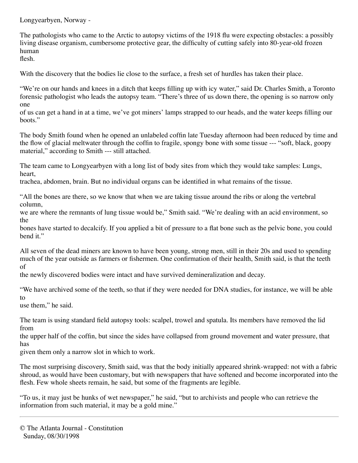Longyearbyen, Norway -

The pathologists who came to the Arctic to autopsy victims of the 1918 flu were expecting obstacles: a possibly living disease organism, cumbersome protective gear, the difficulty of cutting safely into 80-year-old frozen human

flesh.

With the discovery that the bodies lie close to the surface, a fresh set of hurdles has taken their place.

"We're on our hands and knees in a ditch that keeps filling up with icy water," said Dr. Charles Smith, a Toronto forensic pathologist who leads the autopsy team. "There's three of us down there, the opening is so narrow only one

of us can get a hand in at a time, we've got miners' lamps strapped to our heads, and the water keeps filling our boots."

The body Smith found when he opened an unlabeled coffin late Tuesday afternoon had been reduced by time and the flow of glacial meltwater through the coffin to fragile, spongy bone with some tissue --- "soft, black, goopy material," according to Smith --- still attached.

The team came to Longyearbyen with a long list of body sites from which they would take samples: Lungs, heart,

trachea, abdomen, brain. But no individual organs can be identified in what remains of the tissue.

"All the bones are there, so we know that when we are taking tissue around the ribs or along the vertebral column,

we are where the remnants of lung tissue would be," Smith said. "We're dealing with an acid environment, so the

bones have started to decalcify. If you applied a bit of pressure to a flat bone such as the pelvic bone, you could bend it."

All seven of the dead miners are known to have been young, strong men, still in their 20s and used to spending much of the year outside as farmers or fishermen. One confirmation of their health, Smith said, is that the teeth of

the newly discovered bodies were intact and have survived demineralization and decay.

"We have archived some of the teeth, so that if they were needed for DNA studies, for instance, we will be able to

use them," he said.

The team is using standard field autopsy tools: scalpel, trowel and spatula. Its members have removed the lid from

the upper half of the coffin, but since the sides have collapsed from ground movement and water pressure, that has

given them only a narrow slot in which to work.

The most surprising discovery, Smith said, was that the body initially appeared shrink-wrapped: not with a fabric shroud, as would have been customary, but with newspapers that have softened and become incorporated into the flesh. Few whole sheets remain, he said, but some of the fragments are legible.

"To us, it may just be hunks of wet newspaper," he said, "but to archivists and people who can retrieve the information from such material, it may be a gold mine."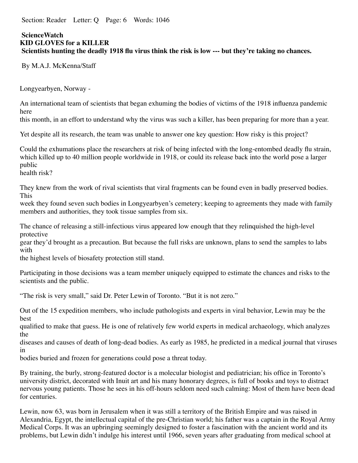Section: Reader Letter: O Page: 6 Words: 1046

#### **ScienceWatch KID GLOVES for a KILLER Scientists hunting the deadly 1918 flu virus think the risk is low --- but they're taking no chances.**

By M.A.J. McKenna/Staff

Longyearbyen, Norway -

An international team of scientists that began exhuming the bodies of victims of the 1918 influenza pandemic here

this month, in an effort to understand why the virus was such a killer, has been preparing for more than a year.

Yet despite all its research, the team was unable to answer one key question: How risky is this project?

Could the exhumations place the researchers at risk of being infected with the long-entombed deadly flu strain, which killed up to 40 million people worldwide in 1918, or could its release back into the world pose a larger public

health risk?

They knew from the work of rival scientists that viral fragments can be found even in badly preserved bodies. This

week they found seven such bodies in Longyearbyen's cemetery; keeping to agreements they made with family members and authorities, they took tissue samples from six.

The chance of releasing a still-infectious virus appeared low enough that they relinquished the high-level protective

gear they'd brought as a precaution. But because the full risks are unknown, plans to send the samples to labs with

the highest levels of biosafety protection still stand.

Participating in those decisions was a team member uniquely equipped to estimate the chances and risks to the scientists and the public.

"The risk is very small," said Dr. Peter Lewin of Toronto. "But it is not zero."

Out of the 15 expedition members, who include pathologists and experts in viral behavior, Lewin may be the best

qualified to make that guess. He is one of relatively few world experts in medical archaeology, which analyzes the

diseases and causes of death of long-dead bodies. As early as 1985, he predicted in a medical journal that viruses in

bodies buried and frozen for generations could pose a threat today.

By training, the burly, strong-featured doctor is a molecular biologist and pediatrician; his office in Toronto's university district, decorated with Inuit art and his many honorary degrees, is full of books and toys to distract nervous young patients. Those he sees in his off-hours seldom need such calming: Most of them have been dead for centuries.

Lewin, now 63, was born in Jerusalem when it was still a territory of the British Empire and was raised in Alexandria, Egypt, the intellectual capital of the pre-Christian world; his father was a captain in the Royal Army Medical Corps. It was an upbringing seemingly designed to foster a fascination with the ancient world and its problems, but Lewin didn't indulge his interest until 1966, seven years after graduating from medical school at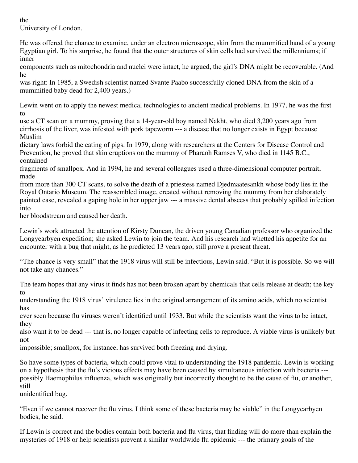the University of London.

He was offered the chance to examine, under an electron microscope, skin from the mummified hand of a young Egyptian girl. To his surprise, he found that the outer structures of skin cells had survived the millenniums; if inner

components such as mitochondria and nuclei were intact, he argued, the girl's DNA might be recoverable. (And he

was right: In 1985, a Swedish scientist named Svante Paabo successfully cloned DNA from the skin of a mummified baby dead for 2,400 years.)

Lewin went on to apply the newest medical technologies to ancient medical problems. In 1977, he was the first to

use a CT scan on a mummy, proving that a 14-year-old boy named Nakht, who died 3,200 years ago from cirrhosis of the liver, was infested with pork tapeworm --- a disease that no longer exists in Egypt because Muslim

dietary laws forbid the eating of pigs. In 1979, along with researchers at the Centers for Disease Control and Prevention, he proved that skin eruptions on the mummy of Pharaoh Ramses V, who died in 1145 B.C., contained

fragments of smallpox. And in 1994, he and several colleagues used a three-dimensional computer portrait, made

from more than 300 CT scans, to solve the death of a priestess named Djedmaatesankh whose body lies in the Royal Ontario Museum. The reassembled image, created without removing the mummy from her elaborately painted case, revealed a gaping hole in her upper jaw --- a massive dental abscess that probably spilled infection into

her bloodstream and caused her death.

Lewin's work attracted the attention of Kirsty Duncan, the driven young Canadian professor who organized the Longyearbyen expedition; she asked Lewin to join the team. And his research had whetted his appetite for an encounter with a bug that might, as he predicted 13 years ago, still prove a present threat.

"The chance is very small" that the 1918 virus will still be infectious, Lewin said. "But it is possible. So we will not take any chances."

The team hopes that any virus it finds has not been broken apart by chemicals that cells release at death; the key to

understanding the 1918 virus' virulence lies in the original arrangement of its amino acids, which no scientist has

ever seen because flu viruses weren't identified until 1933. But while the scientists want the virus to be intact, they

also want it to be dead --- that is, no longer capable of infecting cells to reproduce. A viable virus is unlikely but not

impossible; smallpox, for instance, has survived both freezing and drying.

So have some types of bacteria, which could prove vital to understanding the 1918 pandemic. Lewin is working on a hypothesis that the flu's vicious effects may have been caused by simultaneous infection with bacteria -- possibly Haemophilus influenza, which was originally but incorrectly thought to be the cause of flu, or another, still

unidentified bug.

"Even if we cannot recover the flu virus, I think some of these bacteria may be viable" in the Longyearbyen bodies, he said.

If Lewin is correct and the bodies contain both bacteria and flu virus, that finding will do more than explain the mysteries of 1918 or help scientists prevent a similar worldwide flu epidemic --- the primary goals of the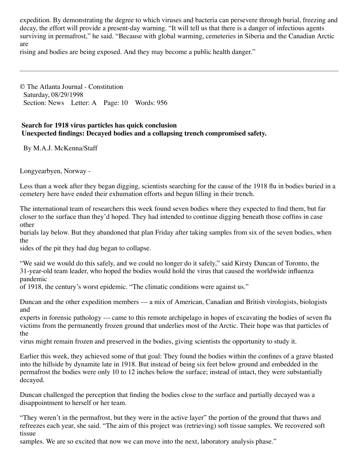expedition. By demonstrating the degree to which viruses and bacteria can persevere through burial, freezing and decay, the effort will provide a present-day warning. "It will tell us that there is a danger of infectious agents surviving in permafrost," he said. "Because with global warming, cemeteries in Siberia and the Canadian Arctic are

rising and bodies are being exposed. And they may become a public health danger."

© The Atlanta Journal - Constitution Saturday, 08/29/1998 Section: News Letter: A Page: 10 Words: 956

## **Search for 1918 virus particles has quick conclusion Unexpected findings: Decayed bodies and a collapsing trench compromised safety.**

By M.A.J. McKenna/Staff

Longyearbyen, Norway -

Less than a week after they began digging, scientists searching for the cause of the 1918 flu in bodies buried in a cemetery here have ended their exhumation efforts and begun filling in their trench.

The international team of researchers this week found seven bodies where they expected to find them, but far closer to the surface than they'd hoped. They had intended to continue digging beneath those coffins in case other

burials lay below. But they abandoned that plan Friday after taking samples from six of the seven bodies, when the

sides of the pit they had dug began to collapse.

"We said we would do this safely, and we could no longer do it safely," said Kirsty Duncan of Toronto, the 31-year-old team leader, who hoped the bodies would hold the virus that caused the worldwide influenza pandemic

of 1918, the century's worst epidemic. "The climatic conditions were against us."

Duncan and the other expedition members --- a mix of American, Canadian and British virologists, biologists and

experts in forensic pathology --- came to this remote archipelago in hopes of excavating the bodies of seven flu victims from the permanently frozen ground that underlies most of the Arctic. Their hope was that particles of the

virus might remain frozen and preserved in the bodies, giving scientists the opportunity to study it.

Earlier this week, they achieved some of that goal: They found the bodies within the confines of a grave blasted into the hillside by dynamite late in 1918. But instead of being six feet below ground and embedded in the permafrost the bodies were only 10 to 12 inches below the surface; instead of intact, they were substantially decayed.

Duncan challenged the perception that finding the bodies close to the surface and partially decayed was a disappointment to herself or her team.

"They weren't in the permafrost, but they were in the active layer" the portion of the ground that thaws and refreezes each year, she said. "The aim of this project was (retrieving) soft tissue samples. We recovered soft tissue

samples. We are so excited that now we can move into the next, laboratory analysis phase."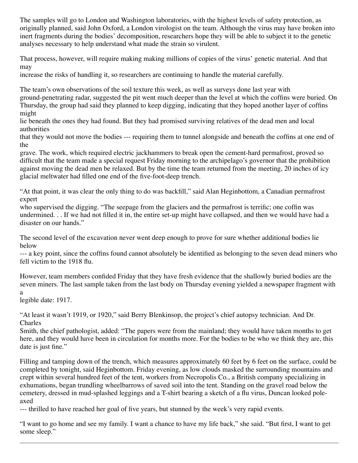The samples will go to London and Washington laboratories, with the highest levels of safety protection, as originally planned, said John Oxford, a London virologist on the team. Although the virus may have broken into inert fragments during the bodies' decomposition, researchers hope they will be able to subject it to the genetic analyses necessary to help understand what made the strain so virulent.

That process, however, will require making making millions of copies of the virus' genetic material. And that may

increase the risks of handling it, so researchers are continuing to handle the material carefully.

The team's own observations of the soil texture this week, as well as surveys done last year with

ground-penetrating radar, suggested the pit went much deeper than the level at which the coffins were buried. On Thursday, the group had said they planned to keep digging, indicating that they hoped another layer of coffins might

lie beneath the ones they had found. But they had promised surviving relatives of the dead men and local authorities

that they would not move the bodies --- requiring them to tunnel alongside and beneath the coffins at one end of the

grave. The work, which required electric jackhammers to break open the cement-hard permafrost, proved so difficult that the team made a special request Friday morning to the archipelago's governor that the prohibition against moving the dead men be relaxed. But by the time the team returned from the meeting, 20 inches of icy glacial meltwater had filled one end of the five-foot-deep trench.

"At that point, it was clear the only thing to do was backfill," said Alan Heginbottom, a Canadian permafrost expert

who supervised the digging. "The seepage from the glaciers and the permafrost is terrific; one coffin was undermined. . . If we had not filled it in, the entire set-up might have collapsed, and then we would have had a disaster on our hands."

The second level of the excavation never went deep enough to prove for sure whether additional bodies lie below

--- a key point, since the coffins found cannot absolutely be identified as belonging to the seven dead miners who fell victim to the 1918 flu.

However, team members confided Friday that they have fresh evidence that the shallowly buried bodies are the seven miners. The last sample taken from the last body on Thursday evening yielded a newspaper fragment with a

legible date: 1917.

"At least it wasn't 1919, or 1920," said Berry Blenkinsop, the project's chief autopsy technician. And Dr. Charles

Smith, the chief pathologist, added: "The papers were from the mainland; they would have taken months to get here, and they would have been in circulation for months more. For the bodies to be who we think they are, this date is just fine."

Filling and tamping down of the trench, which measures approximately 60 feet by 6 feet on the surface, could be completed by tonight, said Heginbottom. Friday evening, as low clouds masked the surrounding mountains and crept within several hundred feet of the tent, workers from Necropolis Co., a British company specializing in exhumations, began trundling wheelbarrows of saved soil into the tent. Standing on the gravel road below the cemetery, dressed in mud-splashed leggings and a T-shirt bearing a sketch of a flu virus, Duncan looked poleaxed

--- thrilled to have reached her goal of five years, but stunned by the week's very rapid events.

"I want to go home and see my family. I want a chance to have my life back," she said. "But first, I want to get some sleep."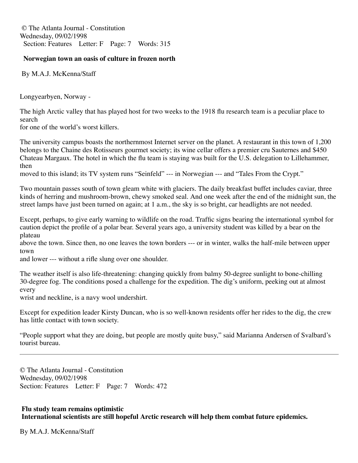© The Atlanta Journal - Constitution Wednesday, 09/02/1998 Section: Features Letter: F Page: 7 Words: 315

#### **Norwegian town an oasis of culture in frozen north**

By M.A.J. McKenna/Staff

Longyearbyen, Norway -

The high Arctic valley that has played host for two weeks to the 1918 flu research team is a peculiar place to search

for one of the world's worst killers.

The university campus boasts the northernmost Internet server on the planet. A restaurant in this town of 1,200 belongs to the Chaine des Rotisseurs gourmet society; its wine cellar offers a premier cru Sauternes and \$450 Chateau Margaux. The hotel in which the flu team is staying was built for the U.S. delegation to Lillehammer, then

moved to this island; its TV system runs "Seinfeld" --- in Norwegian --- and "Tales From the Crypt."

Two mountain passes south of town gleam white with glaciers. The daily breakfast buffet includes caviar, three kinds of herring and mushroom-brown, chewy smoked seal. And one week after the end of the midnight sun, the street lamps have just been turned on again; at 1 a.m., the sky is so bright, car headlights are not needed.

Except, perhaps, to give early warning to wildlife on the road. Traffic signs bearing the international symbol for caution depict the profile of a polar bear. Several years ago, a university student was killed by a bear on the plateau

above the town. Since then, no one leaves the town borders --- or in winter, walks the half-mile between upper town

and lower --- without a rifle slung over one shoulder.

The weather itself is also life-threatening: changing quickly from balmy 50-degree sunlight to bone-chilling 30-degree fog. The conditions posed a challenge for the expedition. The dig's uniform, peeking out at almost every

wrist and neckline, is a navy wool undershirt.

Except for expedition leader Kirsty Duncan, who is so well-known residents offer her rides to the dig, the crew has little contact with town society.

"People support what they are doing, but people are mostly quite busy," said Marianna Andersen of Svalbard's tourist bureau.

© The Atlanta Journal - Constitution Wednesday, 09/02/1998 Section: Features Letter: F Page: 7 Words: 472

## **Flu study team remains optimistic International scientists are still hopeful Arctic research will help them combat future epidemics.**

By M.A.J. McKenna/Staff